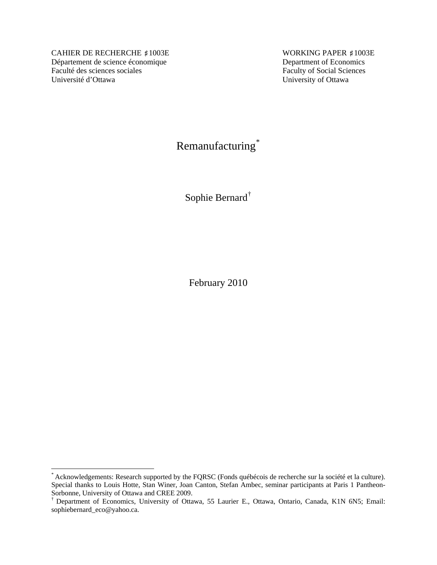CAHIER DE RECHERCHE #1003E WORKING PAPER #1003E Département de science économique Department of Economics Faculté des sciences sociales Université d'Ottawa University of Ottawa

 $\overline{a}$ 

Remanufacturing[\\*](#page-0-0)

Sophie Bernard[†](#page-0-1)

February 2010

<span id="page-0-0"></span><sup>\*</sup> Acknowledgements: Research supported by the FQRSC (Fonds québécois de recherche sur la société et la culture). Special thanks to Louis Hotte, Stan Winer, Joan Canton, Stefan Ambec, seminar participants at Paris 1 Pantheon-Sorbonne, University of Ottawa and CREE 2009.

<span id="page-0-1"></span><sup>†</sup> Department of Economics, University of Ottawa, 55 Laurier E., Ottawa, Ontario, Canada, K1N 6N5; Email: sophiebernard\_eco@yahoo.ca.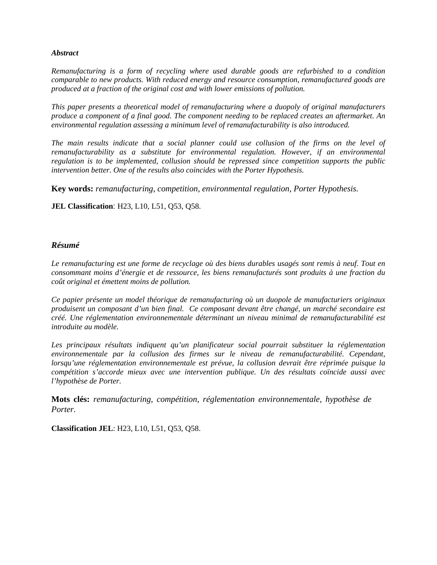#### *Abstract*

*Remanufacturing is a form of recycling where used durable goods are refurbished to a condition comparable to new products. With reduced energy and resource consumption, remanufactured goods are produced at a fraction of the original cost and with lower emissions of pollution.* 

*This paper presents a theoretical model of remanufacturing where a duopoly of original manufacturers produce a component of a final good. The component needing to be replaced creates an aftermarket. An environmental regulation assessing a minimum level of remanufacturability is also introduced.* 

*The main results indicate that a social planner could use collusion of the firms on the level of remanufacturability as a substitute for environmental regulation. However, if an environmental regulation is to be implemented, collusion should be repressed since competition supports the public intervention better. One of the results also coincides with the Porter Hypothesis.* 

**Key words:** *remanufacturing, competition, environmental regulation, Porter Hypothesis.*

**JEL Classification**: H23, L10, L51, Q53, Q58.

#### *Résumé*

*Le remanufacturing est une forme de recyclage où des biens durables usagés sont remis à neuf. Tout en consommant moins d'énergie et de ressource, les biens remanufacturés sont produits à une fraction du coût original et émettent moins de pollution.* 

*Ce papier présente un model théorique de remanufacturing où un duopole de manufacturiers originaux produisent un composant d'un bien final. Ce composant devant être changé, un marché secondaire est créé. Une réglementation environnementale déterminant un niveau minimal de remanufacturabilité est introduite au modèle.* 

Les principaux résultats indiquent qu'un planificateur social pourrait substituer la réglementation *environnementale par la collusion des firmes sur le niveau de remanufacturabilité. Cependant, lorsqu'une réglementation environnementale est prévue, la collusion devrait être réprimée puisque la compétition s'accorde mieux avec une intervention publique. Un des résultats coïncide aussi avec l'hypothèse de Porter.*

**Mots clés:** *remanufacturing, compétition, réglementation environnementale, hypothèse de Porter.*

**Classification JEL**: H23, L10, L51, Q53, Q58.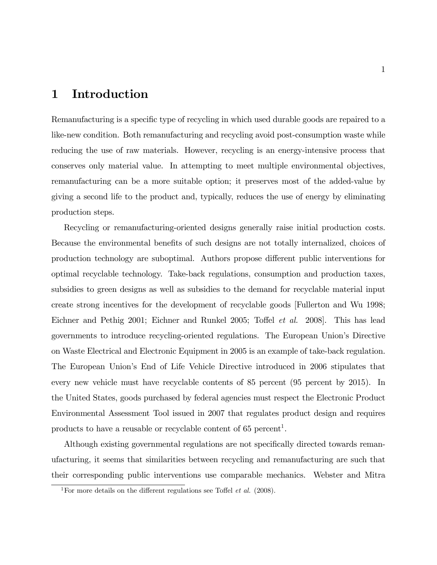## 1 Introduction

Remanufacturing is a specific type of recycling in which used durable goods are repaired to a like-new condition. Both remanufacturing and recycling avoid post-consumption waste while reducing the use of raw materials. However, recycling is an energy-intensive process that conserves only material value. In attempting to meet multiple environmental objectives, remanufacturing can be a more suitable option; it preserves most of the added-value by giving a second life to the product and, typically, reduces the use of energy by eliminating production steps.

Recycling or remanufacturing-oriented designs generally raise initial production costs. Because the environmental benefits of such designs are not totally internalized, choices of production technology are suboptimal. Authors propose different public interventions for optimal recyclable technology. Take-back regulations, consumption and production taxes, subsidies to green designs as well as subsidies to the demand for recyclable material input create strong incentives for the development of recyclable goods [Fullerton and Wu 1998; Eichner and Pethig 2001; Eichner and Runkel 2005; Toffel *et al.* 2008]. This has lead governments to introduce recycling-oriented regulations. The European Unionís Directive on Waste Electrical and Electronic Equipment in 2005 is an example of take-back regulation. The European Unionís End of Life Vehicle Directive introduced in 2006 stipulates that every new vehicle must have recyclable contents of 85 percent (95 percent by 2015). In the United States, goods purchased by federal agencies must respect the Electronic Product Environmental Assessment Tool issued in 2007 that regulates product design and requires products to have a reusable or recyclable content of  $65$  percent<sup>1</sup>.

Although existing governmental regulations are not specifically directed towards remanufacturing, it seems that similarities between recycling and remanufacturing are such that their corresponding public interventions use comparable mechanics. Webster and Mitra

<sup>&</sup>lt;sup>1</sup>For more details on the different regulations see Toffel *et al.* (2008).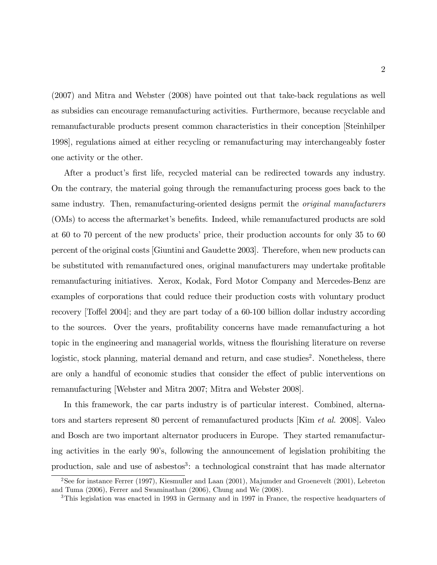(2007) and Mitra and Webster (2008) have pointed out that take-back regulations as well as subsidies can encourage remanufacturing activities. Furthermore, because recyclable and remanufacturable products present common characteristics in their conception [Steinhilper 1998], regulations aimed at either recycling or remanufacturing may interchangeably foster one activity or the other.

After a product's first life, recycled material can be redirected towards any industry. On the contrary, the material going through the remanufacturing process goes back to the same industry. Then, remanufacturing-oriented designs permit the *original manufacturers* (OMs) to access the aftermarket's benefits. Indeed, while remanufactured products are sold at 60 to 70 percent of the new products' price, their production accounts for only 35 to 60 percent of the original costs [Giuntini and Gaudette 2003]. Therefore, when new products can be substituted with remanufactured ones, original manufacturers may undertake profitable remanufacturing initiatives. Xerox, Kodak, Ford Motor Company and Mercedes-Benz are examples of corporations that could reduce their production costs with voluntary product recovery [Toffel 2004]; and they are part today of a  $60-100$  billion dollar industry according to the sources. Over the years, profitability concerns have made remanufacturing a hot topic in the engineering and managerial worlds, witness the flourishing literature on reverse logistic, stock planning, material demand and return, and case studies<sup>2</sup>. Nonetheless, there are only a handful of economic studies that consider the effect of public interventions on remanufacturing [Webster and Mitra 2007; Mitra and Webster 2008].

In this framework, the car parts industry is of particular interest. Combined, alternators and starters represent 80 percent of remanufactured products [Kim et al. 2008]. Valeo and Bosch are two important alternator producers in Europe. They started remanufacturing activities in the early 90's, following the announcement of legislation prohibiting the production, sale and use of asbestos<sup>3</sup>: a technological constraint that has made alternator

<sup>&</sup>lt;sup>2</sup>See for instance Ferrer (1997), Kiesmuller and Laan (2001), Majumder and Groenevelt (2001), Lebreton and Tuma (2006), Ferrer and Swaminathan (2006), Chung and We (2008).

<sup>3</sup>This legislation was enacted in 1993 in Germany and in 1997 in France, the respective headquarters of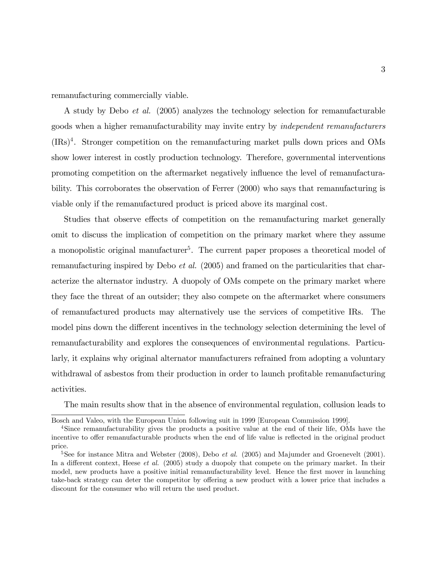remanufacturing commercially viable.

A study by Debo et al. (2005) analyzes the technology selection for remanufacturable goods when a higher remanufacturability may invite entry by independent remanufacturers (IRs)<sup>4</sup> . Stronger competition on the remanufacturing market pulls down prices and OMs show lower interest in costly production technology. Therefore, governmental interventions promoting competition on the aftermarket negatively ináuence the level of remanufacturability. This corroborates the observation of Ferrer (2000) who says that remanufacturing is viable only if the remanufactured product is priced above its marginal cost.

Studies that observe effects of competition on the remanufacturing market generally omit to discuss the implication of competition on the primary market where they assume a monopolistic original manufacturer<sup>5</sup>. The current paper proposes a theoretical model of remanufacturing inspired by Debo et al. (2005) and framed on the particularities that characterize the alternator industry. A duopoly of OMs compete on the primary market where they face the threat of an outsider; they also compete on the aftermarket where consumers of remanufactured products may alternatively use the services of competitive IRs. The model pins down the different incentives in the technology selection determining the level of remanufacturability and explores the consequences of environmental regulations. Particularly, it explains why original alternator manufacturers refrained from adopting a voluntary withdrawal of asbestos from their production in order to launch profitable remanufacturing activities.

The main results show that in the absence of environmental regulation, collusion leads to

Bosch and Valeo, with the European Union following suit in 1999 [European Commission 1999].

<sup>&</sup>lt;sup>4</sup>Since remanufacturability gives the products a positive value at the end of their life, OMs have the incentive to offer remanufacturable products when the end of life value is reflected in the original product price.

<sup>&</sup>lt;sup>5</sup>See for instance Mitra and Webster (2008), Debo *et al.* (2005) and Majumder and Groenevelt (2001). In a different context, Heese *et al.* (2005) study a duopoly that compete on the primary market. In their model, new products have a positive initial remanufacturability level. Hence the first mover in launching take-back strategy can deter the competitor by offering a new product with a lower price that includes a discount for the consumer who will return the used product.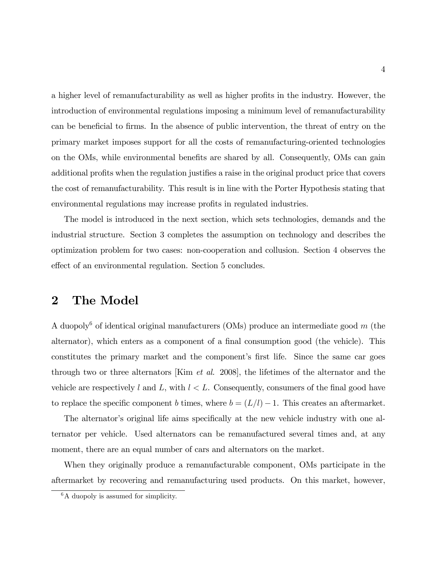a higher level of remanufacturability as well as higher profits in the industry. However, the introduction of environmental regulations imposing a minimum level of remanufacturability can be beneficial to firms. In the absence of public intervention, the threat of entry on the primary market imposes support for all the costs of remanufacturing-oriented technologies on the OMs, while environmental benefits are shared by all. Consequently, OMs can gain additional profits when the regulation justifies a raise in the original product price that covers the cost of remanufacturability. This result is in line with the Porter Hypothesis stating that environmental regulations may increase profits in regulated industries.

The model is introduced in the next section, which sets technologies, demands and the industrial structure. Section 3 completes the assumption on technology and describes the optimization problem for two cases: non-cooperation and collusion. Section 4 observes the effect of an environmental regulation. Section 5 concludes.

## 2 The Model

A duopoly<sup>6</sup> of identical original manufacturers (OMs) produce an intermediate good  $m$  (the alternator), which enters as a component of a final consumption good (the vehicle). This constitutes the primary market and the component's first life. Since the same car goes through two or three alternators [Kim et al. 2008], the lifetimes of the alternator and the vehicle are respectively l and L, with  $l < L$ . Consequently, consumers of the final good have to replace the specific component b times, where  $b = (L/l) - 1$ . This creates an aftermarket.

The alternator's original life aims specifically at the new vehicle industry with one alternator per vehicle. Used alternators can be remanufactured several times and, at any moment, there are an equal number of cars and alternators on the market.

When they originally produce a remanufacturable component, OMs participate in the aftermarket by recovering and remanufacturing used products. On this market, however,

<sup>&</sup>lt;sup>6</sup>A duopoly is assumed for simplicity.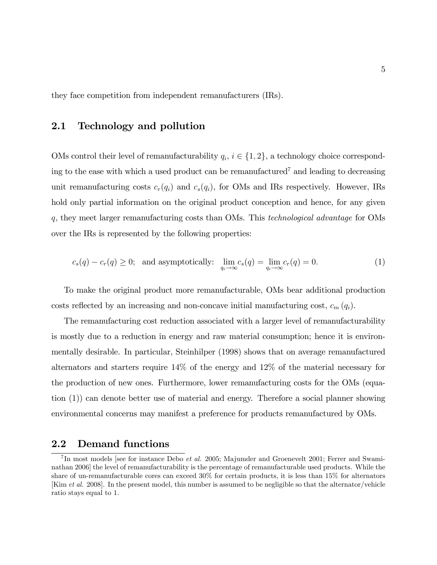they face competition from independent remanufacturers (IRs).

### 2.1 Technology and pollution

OMs control their level of remanufacturability  $q_i$ ,  $i \in \{1, 2\}$ , a technology choice corresponding to the ease with which a used product can be remanufactured<sup>7</sup> and leading to decreasing unit remanufacturing costs  $c_r(q_i)$  and  $c_s(q_i)$ , for OMs and IRs respectively. However, IRs hold only partial information on the original product conception and hence, for any given q, they meet larger remanufacturing costs than OMs. This technological advantage for OMs over the IRs is represented by the following properties:

$$
c_s(q) - c_r(q) \ge 0; \text{ and asymptotically: } \lim_{q_i \to \infty} c_s(q) = \lim_{q_i \to \infty} c_r(q) = 0. \tag{1}
$$

To make the original product more remanufacturable, OMs bear additional production costs reflected by an increasing and non-concave initial manufacturing cost,  $c_m(q_i)$ .

The remanufacturing cost reduction associated with a larger level of remanufacturability is mostly due to a reduction in energy and raw material consumption; hence it is environmentally desirable. In particular, Steinhilper (1998) shows that on average remanufactured alternators and starters require 14% of the energy and 12% of the material necessary for the production of new ones. Furthermore, lower remanufacturing costs for the OMs (equation (1)) can denote better use of material and energy. Therefore a social planner showing environmental concerns may manifest a preference for products remanufactured by OMs.

#### 2.2 Demand functions

<sup>&</sup>lt;sup>7</sup>In most models [see for instance Debo *et al.* 2005; Majumder and Groenevelt 2001; Ferrer and Swaminathan 2006] the level of remanufacturability is the percentage of remanufacturable used products. While the share of un-remanufacturable cores can exceed 30% for certain products, it is less than 15% for alternators [Kim et al. 2008]. In the present model, this number is assumed to be negligible so that the alternator/vehicle ratio stays equal to 1.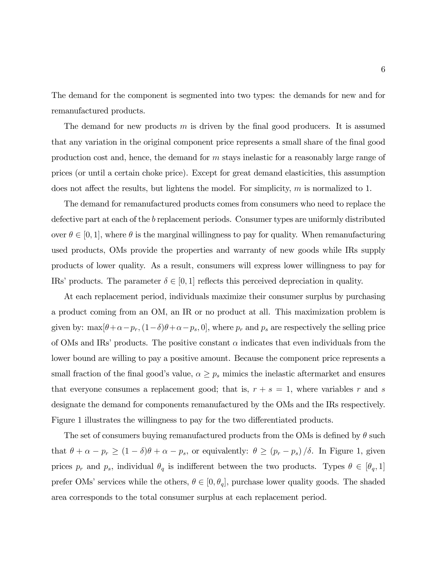The demand for the component is segmented into two types: the demands for new and for remanufactured products.

The demand for new products  $m$  is driven by the final good producers. It is assumed that any variation in the original component price represents a small share of the final good production cost and, hence, the demand for m stays inelastic for a reasonably large range of prices (or until a certain choke price). Except for great demand elasticities, this assumption does not affect the results, but lightens the model. For simplicity,  $m$  is normalized to 1.

The demand for remanufactured products comes from consumers who need to replace the defective part at each of the b replacement periods. Consumer types are uniformly distributed over  $\theta \in [0, 1]$ , where  $\theta$  is the marginal willingness to pay for quality. When remanufacturing used products, OMs provide the properties and warranty of new goods while IRs supply products of lower quality. As a result, consumers will express lower willingness to pay for IRs' products. The parameter  $\delta \in [0, 1]$  reflects this perceived depreciation in quality.

At each replacement period, individuals maximize their consumer surplus by purchasing a product coming from an OM, an IR or no product at all. This maximization problem is given by:  $\max[\theta+\alpha-p_r,(1-\delta)\theta+\alpha-p_s, 0]$ , where  $p_r$  and  $p_s$  are respectively the selling price of OMs and IRs' products. The positive constant  $\alpha$  indicates that even individuals from the lower bound are willing to pay a positive amount. Because the component price represents a small fraction of the final good's value,  $\alpha \geq p_s$  mimics the inelastic aftermarket and ensures that everyone consumes a replacement good; that is,  $r + s = 1$ , where variables r and s designate the demand for components remanufactured by the OMs and the IRs respectively. Figure 1 illustrates the willingness to pay for the two differentiated products.

The set of consumers buying remanufactured products from the OMs is defined by  $\theta$  such that  $\theta + \alpha - p_r \ge (1 - \delta)\theta + \alpha - p_s$ , or equivalently:  $\theta \ge (p_r - p_s)/\delta$ . In Figure 1, given prices  $p_r$  and  $p_s$ , individual  $\theta_q$  is indifferent between the two products. Types  $\theta \in [\theta_q, 1]$ prefer OMs' services while the others,  $\theta \in [0, \theta_q]$ , purchase lower quality goods. The shaded area corresponds to the total consumer surplus at each replacement period.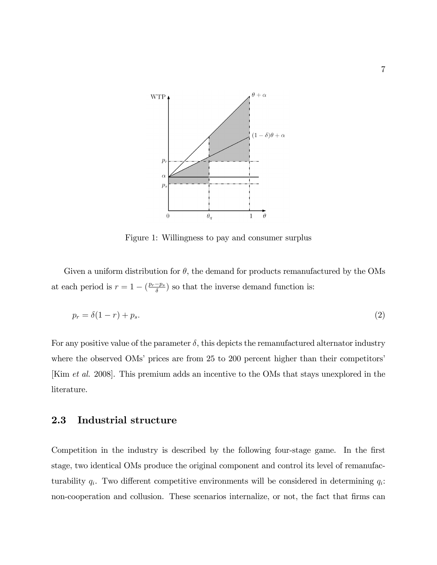

Figure 1: Willingness to pay and consumer surplus

Given a uniform distribution for  $\theta$ , the demand for products remanufactured by the OMs at each period is  $r = 1 - \left(\frac{p_r - p_s}{\delta}\right)$  so that the inverse demand function is:

$$
p_r = \delta(1-r) + p_s. \tag{2}
$$

For any positive value of the parameter  $\delta$ , this depicts the remanufactured alternator industry where the observed OMs' prices are from 25 to 200 percent higher than their competitors' [Kim et al. 2008]. This premium adds an incentive to the OMs that stays unexplored in the literature.

#### 2.3 Industrial structure

Competition in the industry is described by the following four-stage game. In the first stage, two identical OMs produce the original component and control its level of remanufacturability  $q_i$ . Two different competitive environments will be considered in determining  $q_i$ : non-cooperation and collusion. These scenarios internalize, or not, the fact that firms can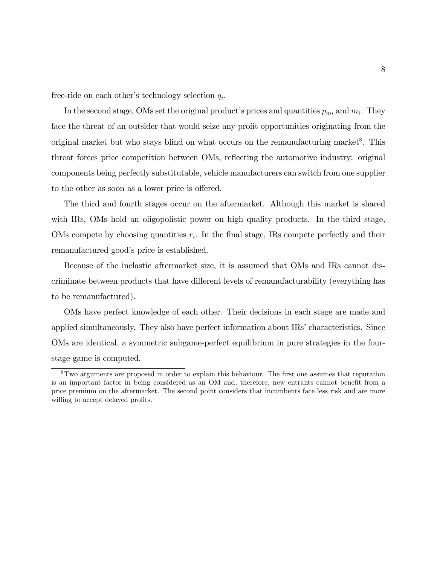free-ride on each other's technology selection  $q_i$ .

In the second stage, OMs set the original product's prices and quantities  $p_{mi}$  and  $m_i$ . They face the threat of an outsider that would seize any profit opportunities originating from the original market but who stays blind on what occurs on the remanufacturing market<sup>8</sup>. This threat forces price competition between OMs, reflecting the automotive industry: original components being perfectly substitutable, vehicle manufacturers can switch from one supplier to the other as soon as a lower price is offered.

The third and fourth stages occur on the aftermarket. Although this market is shared with IRs, OMs hold an oligopolistic power on high quality products. In the third stage, OMs compete by choosing quantities  $r_i$ . In the final stage, IRs compete perfectly and their remanufactured good's price is established.

Because of the inelastic aftermarket size, it is assumed that OMs and IRs cannot discriminate between products that have different levels of remanufacturability (everything has to be remanufactured).

OMs have perfect knowledge of each other. Their decisions in each stage are made and applied simultaneously. They also have perfect information about IRs' characteristics. Since OMs are identical, a symmetric subgame-perfect equilibrium in pure strategies in the fourstage game is computed.

<sup>&</sup>lt;sup>8</sup>Two arguments are proposed in order to explain this behaviour. The first one assumes that reputation is an important factor in being considered as an OM and, therefore, new entrants cannot benefit from a price premium on the aftermarket. The second point considers that incumbents face less risk and are more willing to accept delayed profits.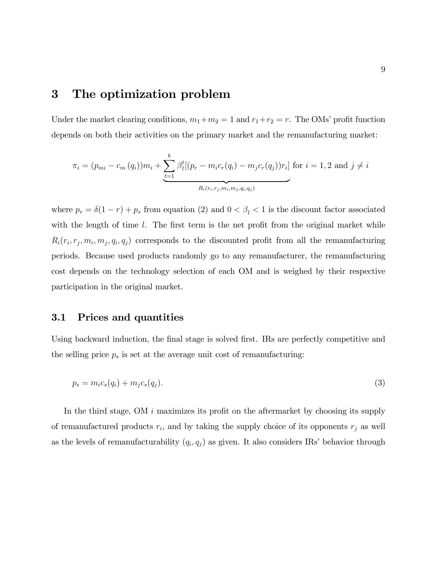## 3 The optimization problem

Under the market clearing conditions,  $m_1+m_2=1$  and  $r_1+r_2=r$ . The OMs' profit function depends on both their activities on the primary market and the remanufacturing market:

$$
\pi_i = (p_{mi} - c_m(q_i))m_i + \underbrace{\sum_{t=1}^b \beta_t^t[(p_r - m_i c_r(q_i) - m_j c_r(q_j))r_i]}_{R_i(r_i, r_j, m_i, m_j, q_i, q_j)}
$$
 for  $i = 1, 2$  and  $j \neq i$ 

where  $p_r = \delta(1 - r) + p_s$  from equation (2) and  $0 < \beta_l < 1$  is the discount factor associated with the length of time  $l$ . The first term is the net profit from the original market while  $R_i(r_i, r_j, m_i, m_j, q_i, q_j)$  corresponds to the discounted profit from all the remanufacturing periods. Because used products randomly go to any remanufacturer, the remanufacturing cost depends on the technology selection of each OM and is weighed by their respective participation in the original market.

#### 3.1 Prices and quantities

Using backward induction, the final stage is solved first. IRs are perfectly competitive and the selling price  $p_s$  is set at the average unit cost of remanufacturing:

$$
p_s = m_i c_s(q_i) + m_j c_s(q_j). \tag{3}
$$

In the third stage, OM  $i$  maximizes its profit on the aftermarket by choosing its supply of remanufactured products  $r_i$ , and by taking the supply choice of its opponents  $r_j$  as well as the levels of remanufacturability  $(q_i, q_j)$  as given. It also considers IRs' behavior through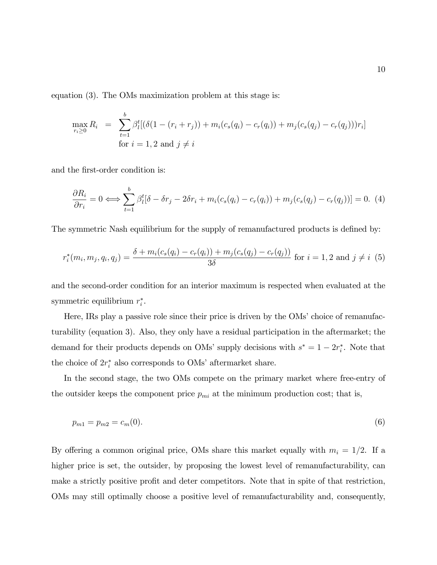equation (3). The OMs maximization problem at this stage is:

$$
\max_{r_i \ge 0} R_i = \sum_{t=1}^b \beta_t^t [(\delta(1 - (r_i + r_j)) + m_i(c_s(q_i) - c_r(q_i)) + m_j(c_s(q_j) - c_r(q_j)))r_i]
$$
  
for  $i = 1, 2$  and  $j \ne i$ 

and the first-order condition is:

$$
\frac{\partial R_i}{\partial r_i} = 0 \Longleftrightarrow \sum_{t=1}^b \beta_t^t [\delta - \delta r_j - 2\delta r_i + m_i (c_s(q_i) - c_r(q_i)) + m_j (c_s(q_j) - c_r(q_j))] = 0. \tag{4}
$$

The symmetric Nash equilibrium for the supply of remanufactured products is defined by:

$$
r_i^*(m_i, m_j, q_i, q_j) = \frac{\delta + m_i(c_s(q_i) - c_r(q_i)) + m_j(c_s(q_j) - c_r(q_j))}{3\delta} \text{ for } i = 1, 2 \text{ and } j \neq i \tag{5}
$$

and the second-order condition for an interior maximum is respected when evaluated at the symmetric equilibrium  $r_i^*$ .

Here, IRs play a passive role since their price is driven by the OMs' choice of remanufacturability (equation 3). Also, they only have a residual participation in the aftermarket; the demand for their products depends on OMs' supply decisions with  $s^* = 1 - 2r_i^*$ . Note that the choice of  $2r_i^*$  also corresponds to OMs' aftermarket share.

In the second stage, the two OMs compete on the primary market where free-entry of the outsider keeps the component price  $p_{mi}$  at the minimum production cost; that is,

$$
p_{m1} = p_{m2} = c_m(0). \tag{6}
$$

By offering a common original price, OMs share this market equally with  $m_i = 1/2$ . If a higher price is set, the outsider, by proposing the lowest level of remanufacturability, can make a strictly positive profit and deter competitors. Note that in spite of that restriction, OMs may still optimally choose a positive level of remanufacturability and, consequently,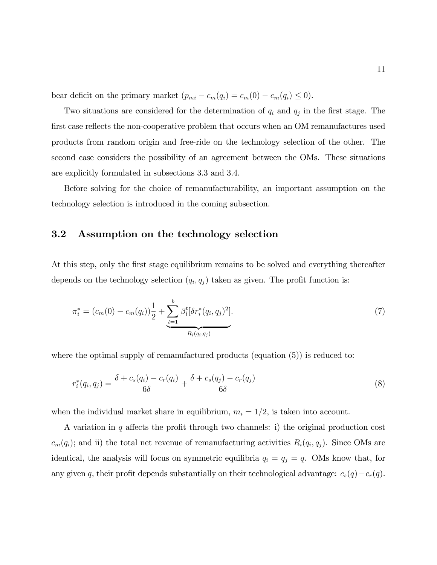bear deficit on the primary market  $(p_{mi} - c_m(q_i) = c_m(0) - c_m(q_i) \le 0)$ .

Two situations are considered for the determination of  $q_i$  and  $q_j$  in the first stage. The first case reflects the non-cooperative problem that occurs when an OM remanufactures used products from random origin and free-ride on the technology selection of the other. The second case considers the possibility of an agreement between the OMs. These situations are explicitly formulated in subsections 3.3 and 3.4.

Before solving for the choice of remanufacturability, an important assumption on the technology selection is introduced in the coming subsection.

### 3.2 Assumption on the technology selection

At this step, only the first stage equilibrium remains to be solved and everything thereafter depends on the technology selection  $(q_i, q_j)$  taken as given. The profit function is:

$$
\pi_i^* = (c_m(0) - c_m(q_i)) \frac{1}{2} + \underbrace{\sum_{t=1}^b \beta_t^t [\delta r_i^*(q_i, q_j)^2]}_{R_i(q_i, q_j)}.
$$
\n
$$
(7)
$$

where the optimal supply of remanufactured products (equation (5)) is reduced to:

$$
r_i^*(q_i, q_j) = \frac{\delta + c_s(q_i) - c_r(q_i)}{6\delta} + \frac{\delta + c_s(q_j) - c_r(q_j)}{6\delta} \tag{8}
$$

when the individual market share in equilibrium,  $m_i = 1/2$ , is taken into account.

A variation in q affects the profit through two channels: i) the original production cost  $c_m(q_i)$ ; and ii) the total net revenue of remanufacturing activities  $R_i(q_i, q_j)$ . Since OMs are identical, the analysis will focus on symmetric equilibria  $q_i = q_j = q$ . OMs know that, for any given q, their profit depends substantially on their technological advantage:  $c_s(q) - c_r(q)$ .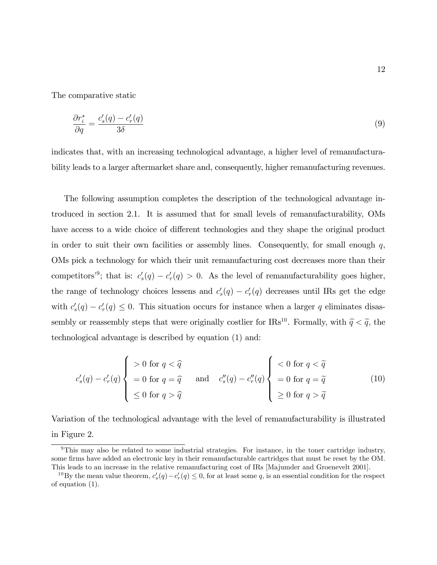The comparative static

$$
\frac{\partial r_i^*}{\partial q} = \frac{c_s'(q) - c_r'(q)}{3\delta} \tag{9}
$$

indicates that, with an increasing technological advantage, a higher level of remanufacturability leads to a larger aftermarket share and, consequently, higher remanufacturing revenues.

The following assumption completes the description of the technological advantage introduced in section 2.1. It is assumed that for small levels of remanufacturability, OMs have access to a wide choice of different technologies and they shape the original product in order to suit their own facilities or assembly lines. Consequently, for small enough  $q$ , OMs pick a technology for which their unit remanufacturing cost decreases more than their competitors<sup>39</sup>; that is:  $c'_s(q) - c'_r(q) > 0$ . As the level of remanufacturability goes higher, the range of technology choices lessens and  $c'_{s}(q) - c'_{r}(q)$  decreases until IRs get the edge with  $c'_s(q) - c'_r(q) \leq 0$ . This situation occurs for instance when a larger q eliminates disassembly or reassembly steps that were originally costlier for IRs<sup>10</sup>. Formally, with  $\hat{q} < \tilde{q}$ , the technological advantage is described by equation (1) and:

$$
c'_{s}(q) - c'_{r}(q) \begin{cases} > 0 \text{ for } q < \widehat{q} \\ &= 0 \text{ for } q = \widehat{q} \\ & \leq 0 \text{ for } q > \widehat{q} \end{cases} \quad \text{and} \quad c''_{s}(q) - c''_{r}(q) \begin{cases} < 0 \text{ for } q < \widetilde{q} \\ &= 0 \text{ for } q = \widetilde{q} \\ & \geq 0 \text{ for } q > \widetilde{q} \end{cases} \tag{10}
$$

Variation of the technological advantage with the level of remanufacturability is illustrated in Figure 2.

<sup>9</sup>This may also be related to some industrial strategies. For instance, in the toner cartridge industry, some firms have added an electronic key in their remanufacturable cartridges that must be reset by the OM. This leads to an increase in the relative remanufacturing cost of IRs [Majumder and Groenevelt 2001].

<sup>&</sup>lt;sup>10</sup>By the mean value theorem,  $c'_s(q) - c'_r(q) \le 0$ , for at least some q, is an essential condition for the respect of equation (1).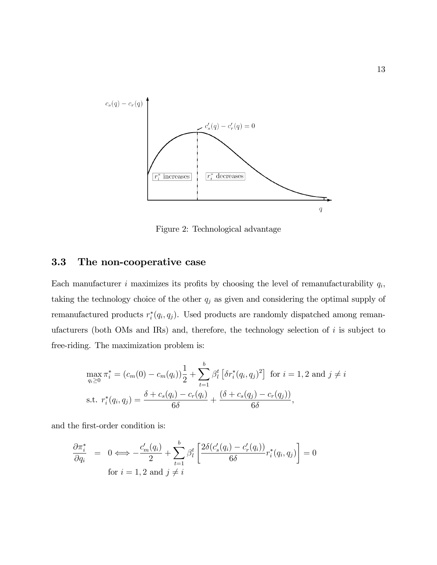

Figure 2: Technological advantage

### 3.3 The non-cooperative case

Each manufacturer *i* maximizes its profits by choosing the level of remanufacturability  $q_i$ , taking the technology choice of the other  $q_j$  as given and considering the optimal supply of remanufactured products  $r_i^*(q_i, q_j)$ . Used products are randomly dispatched among remanufacturers (both OMs and IRs) and, therefore, the technology selection of  $i$  is subject to free-riding. The maximization problem is:

$$
\max_{q_i \ge 0} \pi_i^* = (c_m(0) - c_m(q_i)) \frac{1}{2} + \sum_{t=1}^b \beta_t^t \left[ \delta r_i^*(q_i, q_j)^2 \right] \text{ for } i = 1, 2 \text{ and } j \ne i
$$
  
s.t. 
$$
r_i^*(q_i, q_j) = \frac{\delta + c_s(q_i) - c_r(q_i)}{6\delta} + \frac{(\delta + c_s(q_j) - c_r(q_j))}{6\delta},
$$

and the first-order condition is:

$$
\frac{\partial \pi_i^*}{\partial q_i} = 0 \Longleftrightarrow -\frac{c'_m(q_i)}{2} + \sum_{t=1}^b \beta_l^t \left[ \frac{2\delta(c'_s(q_i) - c'_r(q_i))}{6\delta} r_i^*(q_i, q_j) \right] = 0
$$
  
for  $i = 1, 2$  and  $j \neq i$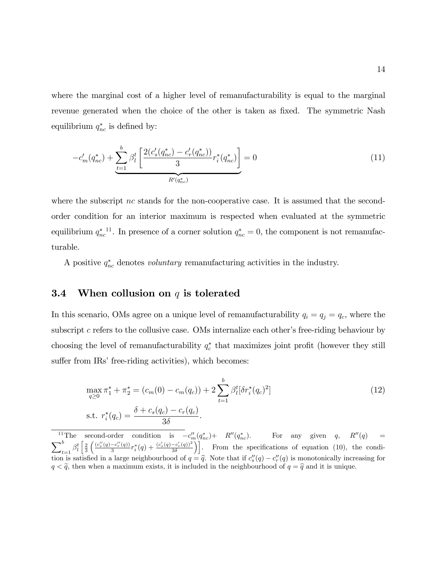where the marginal cost of a higher level of remanufacturability is equal to the marginal revenue generated when the choice of the other is taken as fixed. The symmetric Nash equilibrium  $q_{nc}^*$  is defined by:

$$
-c'_{m}(q_{nc}^{*}) + \underbrace{\sum_{t=1}^{b} \beta_{l}^{t}}_{R'(q_{nc}^{*})} \left[ \frac{2(c'_{s}(q_{nc}^{*}) - c'_{r}(q_{nc}^{*}))}{3} r_{i}^{*}(q_{nc}^{*}) \right] = 0
$$
\n(11)

where the subscript nc stands for the non-cooperative case. It is assumed that the secondorder condition for an interior maximum is respected when evaluated at the symmetric equilibrium  $q_{nc}^{*}$ <sup>11</sup>. In presence of a corner solution  $q_{nc}^{*} = 0$ , the component is not remanufacturable.

A positive  $q_{nc}^*$  denotes *voluntary* remanufacturing activities in the industry.

#### 3.4 When collusion on  $q$  is tolerated

In this scenario, OMs agree on a unique level of remanufacturability  $q_i = q_j = q_c$ , where the subscript c refers to the collusive case. OMs internalize each other's free-riding behaviour by choosing the level of remanufacturability  $q_c^*$  that maximizes joint profit (however they still suffer from IRs' free-riding activities), which becomes:

$$
\max_{q\geq 0} \pi_1^* + \pi_2^* = (c_m(0) - c_m(q_c)) + 2 \sum_{t=1}^b \beta_l^t [\delta r_i^*(q_c)^2]
$$
\n
$$
\text{s.t. } r_i^*(q_c) = \frac{\delta + c_s(q_c) - c_r(q_c)}{3\delta}.
$$
\n(12)

<sup>11</sup>The second-order condition is  $-c_m''(q_{nc}^*)$   $R''(q_{nc}^*)$ . For any given q, R''  $\sqrt{ }$ <sup>1</sup>The second-order condition is  $-c''_m(q_m^*)+ R''(q_m^*)$ . For any given q,  $R''(q) =$ <br>b t  $(c''(q)-c''(q))$  (c)  $(c'(q)-c'(q))^2$ )  $\int_{t=1}^{b} \beta_l^t \left[ \frac{2}{3} \right]$  $\int \frac{(c''_s(q)-c''_r(q))}{(q-q)^2}$  $\frac{-c_{r}^{\prime \prime }(q))}{3}r_{i}^{\ast }(q)+\frac{(c_{s}^{\prime }(q)-c_{r}^{\prime }(q))^{2}}{3\delta }$  $\left[\frac{-c_r'(q))^2}{3\delta}\right]$ . From the specifications of equation (10), the condition is satisfied in a large neighbourhood of  $q = \hat{q}$ . Note that if  $c''_s(q) - c''_r(q)$  is monotonically increasing for  $q < \tilde{q}$ , then when a maximum exists, it is included in the neighbourhood of  $q = \hat{q}$  and it is unique.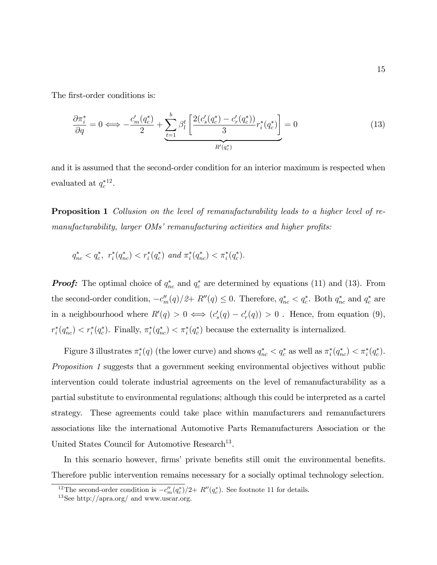The first-order conditions is:

$$
\frac{\partial \pi_i^*}{\partial q} = 0 \iff -\frac{c_m'(q_c^*)}{2} + \underbrace{\sum_{t=1}^b \beta_t^t \left[ \frac{2(c_s'(q_c^*) - c_r'(q_c^*))}{3} r_i^*(q_c^*) \right]}_{R'(q_c^*)} = 0 \tag{13}
$$

and it is assumed that the second-order condition for an interior maximum is respected when evaluated at  $q_c^{*12}$ .

Proposition 1 Collusion on the level of remanufacturability leads to a higher level of remanufacturability, larger  $\overline{OMs'}$  remanufacturing activities and higher profits:

$$
q_{nc}^* < q_c^*, r_i^*(q_{nc}^*) < r_i^*(q_c^*) \text{ and } \pi_i^*(q_{nc}^*) < \pi_i^*(q_c^*).
$$

**Proof:** The optimal choice of  $q_{nc}^*$  and  $q_c^*$  are determined by equations (11) and (13). From the second-order condition,  $-c_m'(q)/2+ R''(q) \leq 0$ . Therefore,  $q_{nc}^* < q_c^*$ . Both  $q_{nc}^*$  and  $q_c^*$  are in a neighbourhood where  $R'(q) > 0 \iff (c'_s(q) - c'_r(q)) > 0$ . Hence, from equation (9),  $r_i^*(q_{nc}^*) < r_i^*(q_c^*)$ . Finally,  $\pi_i^*(q_{nc}^*) < \pi_i^*(q_c^*)$  because the externality is internalized.

Figure 3 illustrates  $\pi_i^*(q)$  (the lower curve) and shows  $q_{nc}^* < q_c^*$  as well as  $\pi_i^*(q_{nc}^*) < \pi_i^*(q_c^*)$ . Proposition 1 suggests that a government seeking environmental objectives without public intervention could tolerate industrial agreements on the level of remanufacturability as a partial substitute to environmental regulations; although this could be interpreted as a cartel strategy. These agreements could take place within manufacturers and remanufacturers associations like the international Automotive Parts Remanufacturers Association or the United States Council for Automotive Research<sup>13</sup>.

In this scenario however, firms' private benefits still omit the environmental benefits. Therefore public intervention remains necessary for a socially optimal technology selection.

<sup>&</sup>lt;sup>12</sup>The second-order condition is  $-c_m''(q_c^*)/2+R''(q_c^*)$ . See footnote 11 for details.

 $13$ See http://apra.org/ and www.uscar.org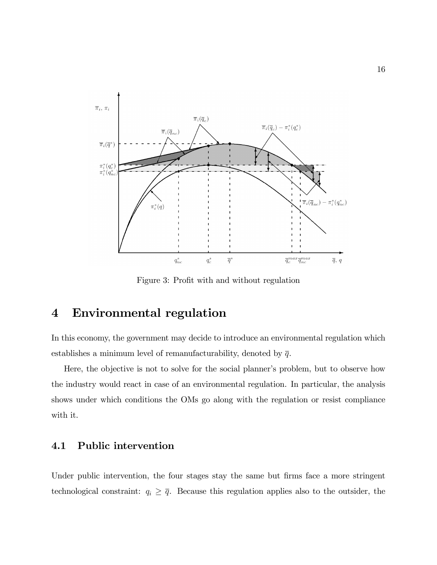

Figure 3: Profit with and without regulation

# 4 Environmental regulation

In this economy, the government may decide to introduce an environmental regulation which establishes a minimum level of remanufacturability, denoted by  $\bar{q}$ .

Here, the objective is not to solve for the social planner's problem, but to observe how the industry would react in case of an environmental regulation. In particular, the analysis shows under which conditions the OMs go along with the regulation or resist compliance with it.

## 4.1 Public intervention

Under public intervention, the four stages stay the same but firms face a more stringent technological constraint:  $q_i \geq \overline{q}$ . Because this regulation applies also to the outsider, the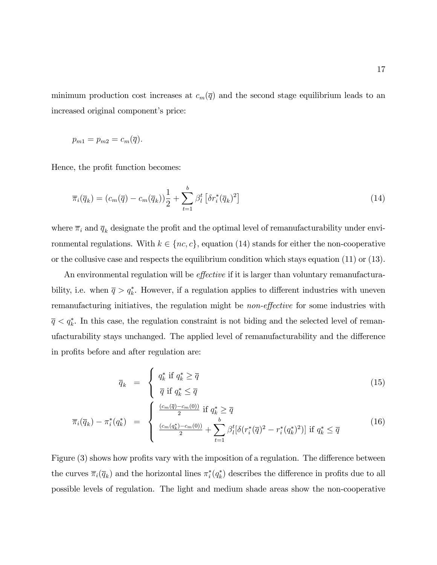minimum production cost increases at  $c_m(\overline{q})$  and the second stage equilibrium leads to an increased original component's price:

$$
p_{m1}=p_{m2}=c_m(\overline{q}).
$$

Hence, the profit function becomes:

$$
\overline{\pi}_i(\overline{q}_k) = (c_m(\overline{q}) - c_m(\overline{q}_k)) \frac{1}{2} + \sum_{t=1}^b \beta_l^t \left[ \delta r_i^*(\overline{q}_k)^2 \right]
$$
\n(14)

where  $\overline{\pi}_i$  and  $\overline{q}_k$  designate the profit and the optimal level of remanufacturability under environmental regulations. With  $k \in \{nc, c\}$ , equation (14) stands for either the non-cooperative or the collusive case and respects the equilibrium condition which stays equation (11) or (13).

An environmental regulation will be *effective* if it is larger than voluntary remanufacturability, i.e. when  $\bar{q} > q_k^*$ . However, if a regulation applies to different industries with uneven remanufacturing initiatives, the regulation might be *non-effective* for some industries with  $\overline{q} < q_k^*$ . In this case, the regulation constraint is not biding and the selected level of remanufacturability stays unchanged. The applied level of remanufacturability and the difference in profits before and after regulation are:

$$
\overline{q}_k = \begin{cases} q_k^* & \text{if } q_k^* \ge \overline{q} \\ \overline{q} & \text{if } q_k^* \le \overline{q} \end{cases}
$$
\n(15)

$$
\overline{\pi}_{i}(\overline{q}_{k}) - \pi_{i}^{*}(q_{k}^{*}) = \begin{cases}\n\frac{(c_{m}(\overline{q}) - c_{m}(0))}{2} \text{ if } q_{k}^{*} \geq \overline{q} \\
\frac{(c_{m}(q_{k}^{*}) - c_{m}(0))}{2} + \sum_{t=1}^{b} \beta_{l}^{t} [\delta(r_{i}^{*}(\overline{q})^{2} - r_{i}^{*}(q_{k}^{*})^{2})] \text{ if } q_{k}^{*} \leq \overline{q}\n\end{cases}
$$
\n(16)

Figure  $(3)$  shows how profits vary with the imposition of a regulation. The difference between the curves  $\overline{\pi}_i(\overline{q}_k)$  and the horizontal lines  $\pi_i^*(q_k^*)$  describes the difference in profits due to all possible levels of regulation. The light and medium shade areas show the non-cooperative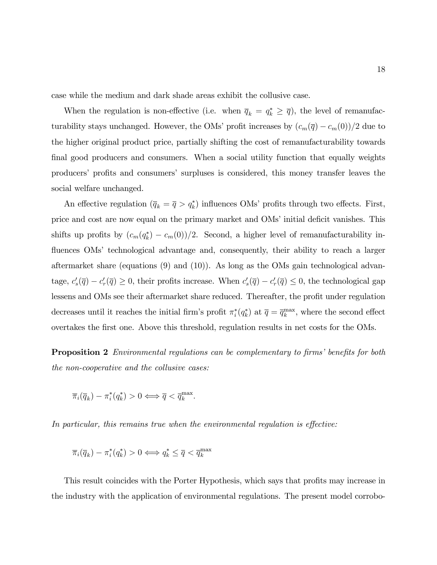case while the medium and dark shade areas exhibit the collusive case.

When the regulation is non-effective (i.e. when  $\overline{q}_k = q_k^* \geq \overline{q}$ ), the level of remanufacturability stays unchanged. However, the OMs' profit increases by  $(c_m(\overline{q})-c_m(0))/2$  due to the higher original product price, partially shifting the cost of remanufacturability towards final good producers and consumers. When a social utility function that equally weights producers' profits and consumers' surpluses is considered, this money transfer leaves the social welfare unchanged.

An effective regulation  $(\bar{q}_k = \bar{q} > q_k^*)$  influences OMs' profits through two effects. First, price and cost are now equal on the primary market and OMs' initial deficit vanishes. This shifts up profits by  $(c_m(q_k^*) - c_m(0))/2$ . Second, a higher level of remanufacturability influences OMs' technological advantage and, consequently, their ability to reach a larger aftermarket share (equations (9) and (10)). As long as the OMs gain technological advantage,  $c'_s(\overline{q}) - c'_r(\overline{q}) \ge 0$ , their profits increase. When  $c'_s(\overline{q}) - c'_r(\overline{q}) \le 0$ , the technological gap lessens and OMs see their aftermarket share reduced. Thereafter, the profit under regulation decreases until it reaches the initial firm's profit  $\pi_i^*(q_k^*)$  at  $\overline{q} = \overline{q}_k^{\max}$ , where the second effect overtakes the first one. Above this threshold, regulation results in net costs for the OMs.

**Proposition 2** Environmental regulations can be complementary to firms' benefits for both the non-cooperative and the collusive cases:

$$
\overline{\pi}_i(\overline{q}_k) - \pi_i^*(q_k^*) > 0 \Longleftrightarrow \overline{q} < \overline{q}_k^{\max}.
$$

In particular, this remains true when the environmental regulation is effective:

$$
\overline{\pi}_i(\overline{q}_k)-\pi_i^*(q_k^*)>0 \Longleftrightarrow q_k^*\leq \overline{q}<\overline{q}_k^{\max}
$$

This result coincides with the Porter Hypothesis, which says that profits may increase in the industry with the application of environmental regulations. The present model corrobo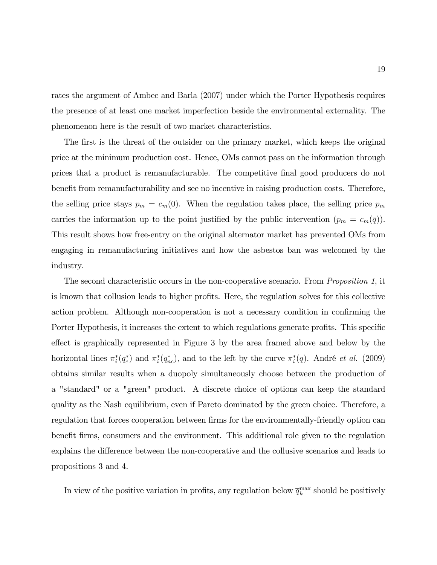rates the argument of Ambec and Barla (2007) under which the Porter Hypothesis requires the presence of at least one market imperfection beside the environmental externality. The phenomenon here is the result of two market characteristics.

The first is the threat of the outsider on the primary market, which keeps the original price at the minimum production cost. Hence, OMs cannot pass on the information through prices that a product is remanufacturable. The competitive Önal good producers do not benefit from remanufacturability and see no incentive in raising production costs. Therefore, the selling price stays  $p_m = c_m(0)$ . When the regulation takes place, the selling price  $p_m$ carries the information up to the point justified by the public intervention  $(p_m = c_m(\overline{q}))$ . This result shows how free-entry on the original alternator market has prevented OMs from engaging in remanufacturing initiatives and how the asbestos ban was welcomed by the industry.

The second characteristic occurs in the non-cooperative scenario. From *Proposition 1*, it is known that collusion leads to higher profits. Here, the regulation solves for this collective action problem. Although non-cooperation is not a necessary condition in confirming the Porter Hypothesis, it increases the extent to which regulations generate profits. This specific effect is graphically represented in Figure 3 by the area framed above and below by the horizontal lines  $\pi_i^*(q_c^*)$  and  $\pi_i^*(q_{nc}^*)$ , and to the left by the curve  $\pi_i^*(q)$ . André *et al.* (2009) obtains similar results when a duopoly simultaneously choose between the production of a "standard" or a "green" product. A discrete choice of options can keep the standard quality as the Nash equilibrium, even if Pareto dominated by the green choice. Therefore, a regulation that forces cooperation between firms for the environmentally-friendly option can benefit firms, consumers and the environment. This additional role given to the regulation explains the difference between the non-cooperative and the collusive scenarios and leads to propositions 3 and 4.

In view of the positive variation in profits, any regulation below  $\overline{q}_k^{\max}$  should be positively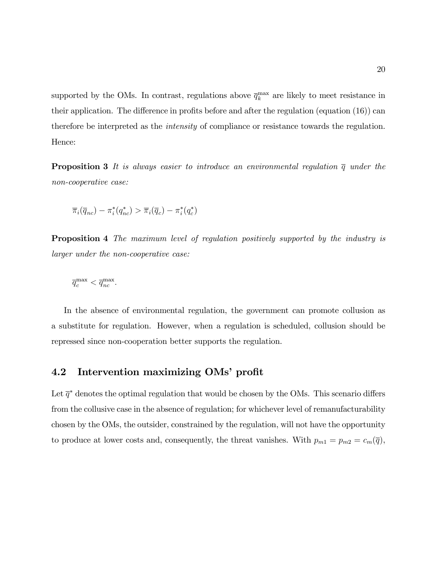supported by the OMs. In contrast, regulations above  $\overline{q}_k^{\max}$  are likely to meet resistance in their application. The difference in profits before and after the regulation (equation  $(16)$ ) can therefore be interpreted as the intensity of compliance or resistance towards the regulation. Hence:

**Proposition 3** It is always easier to introduce an environmental regulation  $\overline{q}$  under the non-cooperative case:

$$
\overline{\pi}_i(\overline{q}_{nc}) - \pi_i^*(q_{nc}^*) > \overline{\pi}_i(\overline{q}_c) - \pi_i^*(q_c^*)
$$

**Proposition 4** The maximum level of regulation positively supported by the industry is larger under the non-cooperative case:

$$
\overline{q}^{\max}_c < \overline{q}^{\max}_{nc}.
$$

In the absence of environmental regulation, the government can promote collusion as a substitute for regulation. However, when a regulation is scheduled, collusion should be repressed since non-cooperation better supports the regulation.

#### 4.2 Intervention maximizing OMs' profit

Let  $\bar{q}^*$  denotes the optimal regulation that would be chosen by the OMs. This scenario differs from the collusive case in the absence of regulation; for whichever level of remanufacturability chosen by the OMs, the outsider, constrained by the regulation, will not have the opportunity to produce at lower costs and, consequently, the threat vanishes. With  $p_{m1} = p_{m2} = c_m(\overline{q})$ ,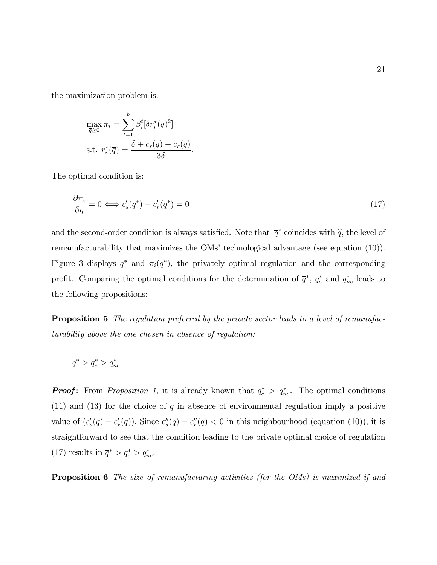the maximization problem is:

$$
\max_{\overline{q}\geq 0} \overline{\pi}_i = \sum_{t=1}^b \beta_t^t [\delta r_i^*(\overline{q})^2]
$$
  
s.t. 
$$
r_i^*(\overline{q}) = \frac{\delta + c_s(\overline{q}) - c_r(\overline{q})}{3\delta}
$$

The optimal condition is:

$$
\frac{\partial \overline{\pi}_i}{\partial q} = 0 \Longleftrightarrow c'_s(\overline{q}^*) - c'_r(\overline{q}^*) = 0 \tag{17}
$$

.

and the second-order condition is always satisfied. Note that  $\bar{q}^*$  coincides with  $\hat{q}$ , the level of remanufacturability that maximizes the OMs' technological advantage (see equation  $(10)$ ). Figure 3 displays  $\bar{q}^*$  and  $\bar{\pi}_i(\bar{q}^*)$ , the privately optimal regulation and the corresponding profit. Comparing the optimal conditions for the determination of  $\bar{q}^*, q_c^*$  and  $q_{nc}^*$  leads to the following propositions:

**Proposition 5** The regulation preferred by the private sector leads to a level of remanufacturability above the one chosen in absence of regulation:

$$
\overline{q}^* > q_c^* > q_{nc}^*
$$

**Proof:** From Proposition 1, it is already known that  $q_c^* > q_{nc}^*$ . The optimal conditions  $(11)$  and  $(13)$  for the choice of q in absence of environmental regulation imply a positive value of  $(c_s'(q) - c_r'(q))$ . Since  $c_s''(q) - c_r''(q) < 0$  in this neighbourhood (equation (10)), it is straightforward to see that the condition leading to the private optimal choice of regulation (17) results in  $\overline{q}^* > q_c^* > q_{nc}^*$ .

**Proposition 6** The size of remanufacturing activities (for the OMs) is maximized if and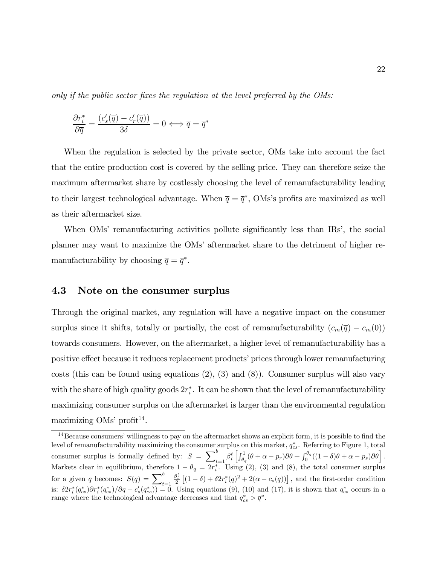only if the public sector fixes the regulation at the level preferred by the  $\overline{OMs}$ :

$$
\frac{\partial r_i^*}{\partial \overline{q}} = \frac{(c_s'(\overline{q}) - c_r'(\overline{q}))}{3\delta} = 0 \Longleftrightarrow \overline{q} = \overline{q}^*
$$

When the regulation is selected by the private sector, OMs take into account the fact that the entire production cost is covered by the selling price. They can therefore seize the maximum aftermarket share by costlessly choosing the level of remanufacturability leading to their largest technological advantage. When  $\bar{q} = \bar{q}^*$ , OMs's profits are maximized as well as their aftermarket size.

When OMs' remanufacturing activities pollute significantly less than IRs<sup>'</sup>, the social planner may want to maximize the OMsíaftermarket share to the detriment of higher remanufacturability by choosing  $\overline{q} = \overline{q}^*$ .

### 4.3 Note on the consumer surplus

Through the original market, any regulation will have a negative impact on the consumer surplus since it shifts, totally or partially, the cost of remanufacturability  $(c_m(\overline{q}) - c_m(0))$ towards consumers. However, on the aftermarket, a higher level of remanufacturability has a positive effect because it reduces replacement products' prices through lower remanufacturing costs (this can be found using equations  $(2)$ ,  $(3)$  and  $(8)$ ). Consumer surplus will also vary with the share of high quality goods  $2r_i^*$ . It can be shown that the level of remanufacturability maximizing consumer surplus on the aftermarket is larger than the environmental regulation maximizing OMs' profit<sup>14</sup>.

 $14$ Because consumers' willingness to pay on the aftermarket shows an explicit form, it is possible to find the level of remanufacturability maximizing the consumer surplus on this market,  $q_{cs}^*$ . Referring to Figure 1, total consumer surplus is formally defined by:  $S = \sum_{k=1}^{b}$  $\int_{t=1}^{b} \beta_l^t \left[ \int_{\theta_q}^1 (\theta + \alpha - p_r) \partial \theta + \int_0^{\theta_q} ((1-\delta)\theta + \alpha - p_s) \partial \theta \right].$ Markets clear in equilibrium, therefore  $1 - \theta_q = 2r_i^*$ . Using (2), (3) and (8), the total consumer surplus for a given q becomes:  $S(q) = \sum_{t=1}^{b}$  $\frac{\beta_l^t}{2}$   $[(1-\delta) + \delta 2r_i^*(q)^2 + 2(\alpha - c_s(q))]$ , and the first-order condition is:  $\delta 2r_i^*(q_{cs}^*)\partial r_i^*(q_{cs}^*)/\partial q - c_s'(q_{cs}^*) = 0$ . Using equations (9), (10) and (17), it is shown that  $q_{cs}^*$  occurs in a range where the technological advantage decreases and that  $q_{cs}^*$   $> \overline{q}^*$ .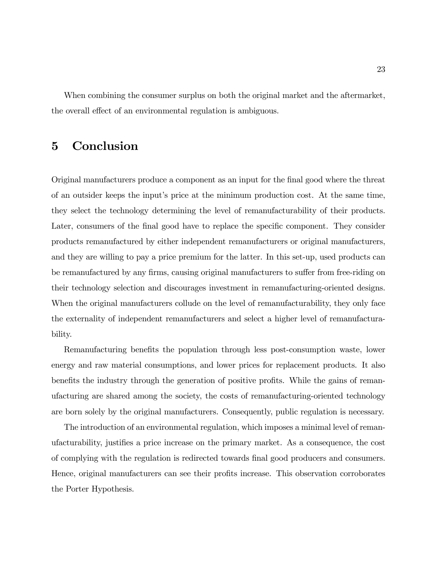When combining the consumer surplus on both the original market and the aftermarket, the overall effect of an environmental regulation is ambiguous.

# 5 Conclusion

Original manufacturers produce a component as an input for the Önal good where the threat of an outsider keeps the inputís price at the minimum production cost. At the same time, they select the technology determining the level of remanufacturability of their products. Later, consumers of the final good have to replace the specific component. They consider products remanufactured by either independent remanufacturers or original manufacturers, and they are willing to pay a price premium for the latter. In this set-up, used products can be remanufactured by any firms, causing original manufacturers to suffer from free-riding on their technology selection and discourages investment in remanufacturing-oriented designs. When the original manufacturers collude on the level of remanufacturability, they only face the externality of independent remanufacturers and select a higher level of remanufacturability.

Remanufacturing benefits the population through less post-consumption waste, lower energy and raw material consumptions, and lower prices for replacement products. It also benefits the industry through the generation of positive profits. While the gains of remanufacturing are shared among the society, the costs of remanufacturing-oriented technology are born solely by the original manufacturers. Consequently, public regulation is necessary.

The introduction of an environmental regulation, which imposes a minimal level of remanufacturability, justiÖes a price increase on the primary market. As a consequence, the cost of complying with the regulation is redirected towards Önal good producers and consumers. Hence, original manufacturers can see their profits increase. This observation corroborates the Porter Hypothesis.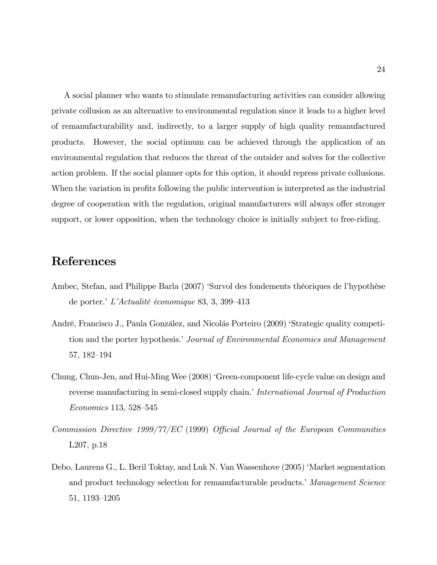A social planner who wants to stimulate remanufacturing activities can consider allowing private collusion as an alternative to environmental regulation since it leads to a higher level of remanufacturability and, indirectly, to a larger supply of high quality remanufactured products. However, the social optimum can be achieved through the application of an environmental regulation that reduces the threat of the outsider and solves for the collective action problem. If the social planner opts for this option, it should repress private collusions. When the variation in profits following the public intervention is interpreted as the industrial degree of cooperation with the regulation, original manufacturers will always offer stronger support, or lower opposition, when the technology choice is initially subject to free-riding.

# References

- Ambec, Stefan, and Philippe Barla (2007) 'Survol des fondements théoriques de l'hypothèse de porter.<sup>†</sup>L'Actualité économique 83, 3, 399–413
- André, Francisco J., Paula González, and Nicolás Porteiro (2009) 'Strategic quality competition and the porter hypothesis.*'* Journal of Environmental Economics and Management 57, 182–194
- Chung, Chun-Jen, and Hui-Ming Wee (2008) ëGreen-component life-cycle value on design and reverse manufacturing in semi-closed supply chain.' International Journal of Production  $Economics 113, 528–545$
- Commission Directive 1999/77/EC (1999) Official Journal of the European Communities L207, p.18
- Debo, Laurens G., L. Beril Toktay, and Luk N. Van Wassenhove (2005) 'Market segmentation and product technology selection for remanufacturable products. Management Science 51, 1193–1205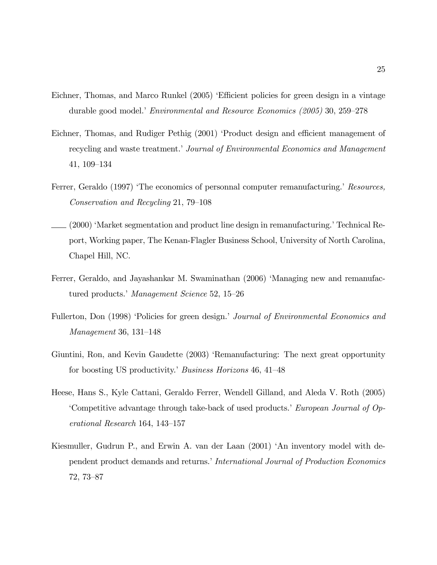- Eichner, Thomas, and Marco Runkel (2005) Efficient policies for green design in a vintage durable good model.*Convironmental and Resource Economics (2005)* 30, 259–278
- Eichner, Thomas, and Rudiger Pethig (2001) 'Product design and efficient management of recycling and waste treatment.' Journal of Environmental Economics and Management 41, 109–134
- Ferrer, Geraldo (1997) The economics of personnal computer remanufacturing. Resources, Conservation and Recycling 21, 79–108
- . (2000) 'Market segmentation and product line design in remanufacturing.' Technical Report, Working paper, The Kenan-Flagler Business School, University of North Carolina, Chapel Hill, NC.
- Ferrer, Geraldo, and Jayashankar M. Swaminathan (2006) 'Managing new and remanufactured products.<sup>†</sup> Management Science 52, 15–26
- Fullerton, Don (1998) 'Policies for green design.' Journal of Environmental Economics and  $Management\ 36, \ 131–148$
- Giuntini, Ron, and Kevin Gaudette (2003) 'Remanufacturing: The next great opportunity for boosting US productivity.' Business Horizons 46, 41–48
- Heese, Hans S., Kyle Cattani, Geraldo Ferrer, Wendell Gilland, and Aleda V. Roth (2005) Competitive advantage through take-back of used products. European Journal of  $Op$  $e$ rational Research 164, 143–157
- Kiesmuller, Gudrun P., and Erwin A. van der Laan (2001) 'An inventory model with dependent product demands and returns. International Journal of Production Economics  $72, 73 - 87$